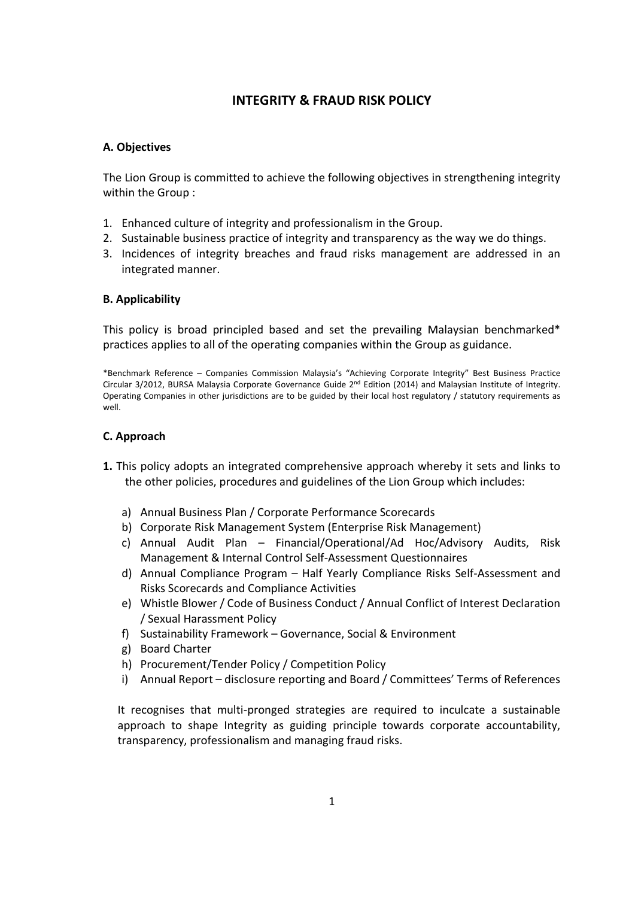## INTEGRITY & FRAUD RISK POLICY

## A. Objectives

The Lion Group is committed to achieve the following objectives in strengthening integrity within the Group :

- 1. Enhanced culture of integrity and professionalism in the Group.
- 2. Sustainable business practice of integrity and transparency as the way we do things.
- 3. Incidences of integrity breaches and fraud risks management are addressed in an integrated manner.

## B. Applicability

This policy is broad principled based and set the prevailing Malaysian benchmarked\* practices applies to all of the operating companies within the Group as guidance.

\*Benchmark Reference – Companies Commission Malaysia's "Achieving Corporate Integrity" Best Business Practice Circular 3/2012, BURSA Malaysia Corporate Governance Guide 2<sup>nd</sup> Edition (2014) and Malaysian Institute of Integrity. Operating Companies in other jurisdictions are to be guided by their local host regulatory / statutory requirements as well.

## C. Approach

- 1. This policy adopts an integrated comprehensive approach whereby it sets and links to the other policies, procedures and guidelines of the Lion Group which includes:
	- a) Annual Business Plan / Corporate Performance Scorecards
	- b) Corporate Risk Management System (Enterprise Risk Management)
	- c) Annual Audit Plan Financial/Operational/Ad Hoc/Advisory Audits, Risk Management & Internal Control Self-Assessment Questionnaires
	- d) Annual Compliance Program Half Yearly Compliance Risks Self-Assessment and Risks Scorecards and Compliance Activities
	- e) Whistle Blower / Code of Business Conduct / Annual Conflict of Interest Declaration / Sexual Harassment Policy
	- f) Sustainability Framework Governance, Social & Environment
	- g) Board Charter
	- h) Procurement/Tender Policy / Competition Policy
	- i) Annual Report disclosure reporting and Board / Committees' Terms of References

It recognises that multi-pronged strategies are required to inculcate a sustainable approach to shape Integrity as guiding principle towards corporate accountability, transparency, professionalism and managing fraud risks.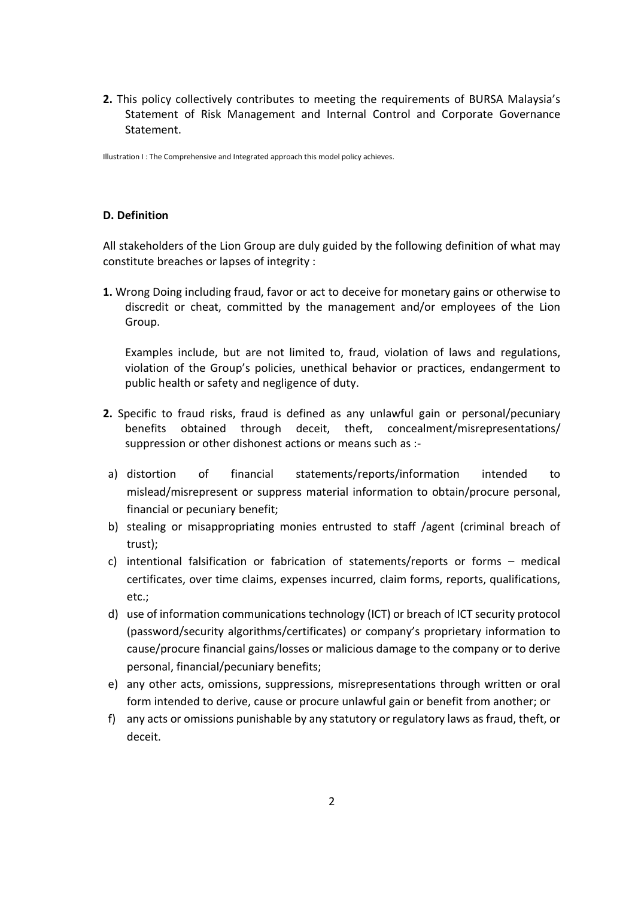2. This policy collectively contributes to meeting the requirements of BURSA Malaysia's Statement of Risk Management and Internal Control and Corporate Governance Statement.

Illustration I : The Comprehensive and Integrated approach this model policy achieves.

#### D. Definition

All stakeholders of the Lion Group are duly guided by the following definition of what may constitute breaches or lapses of integrity :

1. Wrong Doing including fraud, favor or act to deceive for monetary gains or otherwise to discredit or cheat, committed by the management and/or employees of the Lion Group.

Examples include, but are not limited to, fraud, violation of laws and regulations, violation of the Group's policies, unethical behavior or practices, endangerment to public health or safety and negligence of duty.

- 2. Specific to fraud risks, fraud is defined as any unlawful gain or personal/pecuniary benefits obtained through deceit, theft, concealment/misrepresentations/ suppression or other dishonest actions or means such as :-
- a) distortion of financial statements/reports/information intended to mislead/misrepresent or suppress material information to obtain/procure personal, financial or pecuniary benefit;
- b) stealing or misappropriating monies entrusted to staff /agent (criminal breach of trust);
- c) intentional falsification or fabrication of statements/reports or forms medical certificates, over time claims, expenses incurred, claim forms, reports, qualifications, etc.;
- d) use of information communications technology (ICT) or breach of ICT security protocol (password/security algorithms/certificates) or company's proprietary information to cause/procure financial gains/losses or malicious damage to the company or to derive personal, financial/pecuniary benefits;
- e) any other acts, omissions, suppressions, misrepresentations through written or oral form intended to derive, cause or procure unlawful gain or benefit from another; or
- f) any acts or omissions punishable by any statutory or regulatory laws as fraud, theft, or deceit.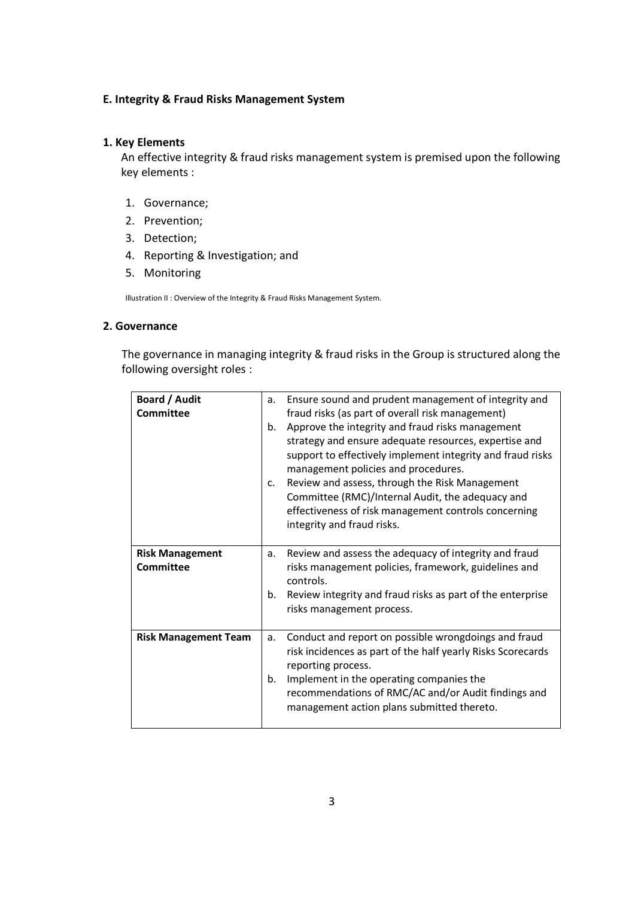#### E. Integrity & Fraud Risks Management System

#### 1. Key Elements

An effective integrity & fraud risks management system is premised upon the following key elements :

- 1. Governance;
- 2. Prevention;
- 3. Detection;
- 4. Reporting & Investigation; and
- 5. Monitoring

Illustration II : Overview of the Integrity & Fraud Risks Management System.

#### 2. Governance

The governance in managing integrity & fraud risks in the Group is structured along the following oversight roles :

| Board / Audit               | a. | Ensure sound and prudent management of integrity and                                                                                                                                                                                                                                                                                                   |
|-----------------------------|----|--------------------------------------------------------------------------------------------------------------------------------------------------------------------------------------------------------------------------------------------------------------------------------------------------------------------------------------------------------|
| <b>Committee</b>            |    | fraud risks (as part of overall risk management)                                                                                                                                                                                                                                                                                                       |
|                             | b. | Approve the integrity and fraud risks management                                                                                                                                                                                                                                                                                                       |
|                             | c. | strategy and ensure adequate resources, expertise and<br>support to effectively implement integrity and fraud risks<br>management policies and procedures.<br>Review and assess, through the Risk Management<br>Committee (RMC)/Internal Audit, the adequacy and<br>effectiveness of risk management controls concerning<br>integrity and fraud risks. |
| <b>Risk Management</b>      | a. | Review and assess the adequacy of integrity and fraud                                                                                                                                                                                                                                                                                                  |
| <b>Committee</b>            |    | risks management policies, framework, guidelines and<br>controls.                                                                                                                                                                                                                                                                                      |
|                             | b. | Review integrity and fraud risks as part of the enterprise<br>risks management process.                                                                                                                                                                                                                                                                |
| <b>Risk Management Team</b> | a. | Conduct and report on possible wrongdoings and fraud<br>risk incidences as part of the half yearly Risks Scorecards<br>reporting process.                                                                                                                                                                                                              |
|                             | b. | Implement in the operating companies the<br>recommendations of RMC/AC and/or Audit findings and<br>management action plans submitted thereto.                                                                                                                                                                                                          |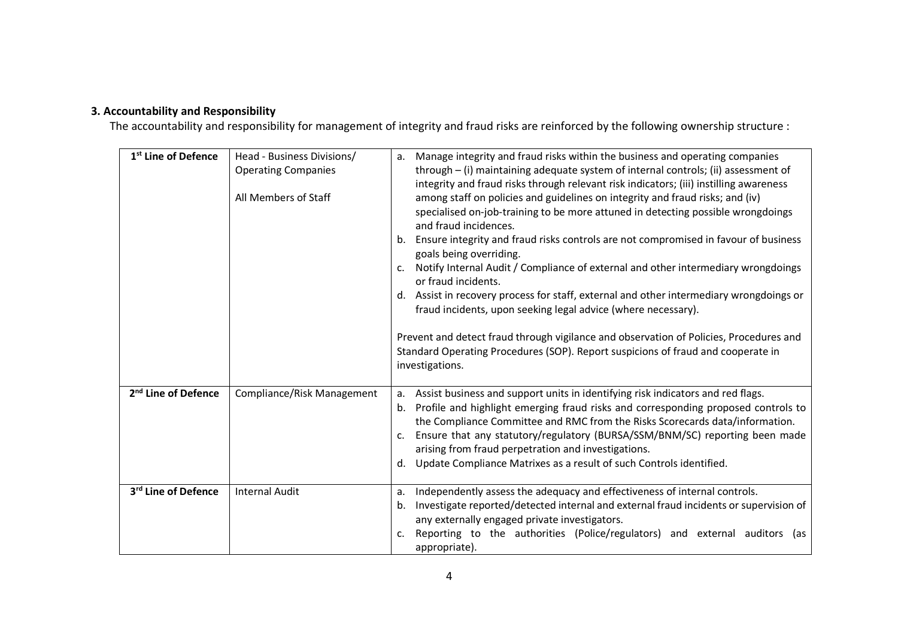## 3. Accountability and Responsibility

The accountability and responsibility for management of integrity and fraud risks are reinforced by the following ownership structure :

| 1 <sup>st</sup> Line of Defence | Head - Business Divisions/<br><b>Operating Companies</b><br>All Members of Staff | Manage integrity and fraud risks within the business and operating companies<br>а.<br>through – (i) maintaining adequate system of internal controls; (ii) assessment of<br>integrity and fraud risks through relevant risk indicators; (iii) instilling awareness<br>among staff on policies and guidelines on integrity and fraud risks; and (iv)<br>specialised on-job-training to be more attuned in detecting possible wrongdoings<br>and fraud incidences.<br>Ensure integrity and fraud risks controls are not compromised in favour of business<br>b.<br>goals being overriding.<br>Notify Internal Audit / Compliance of external and other intermediary wrongdoings<br>or fraud incidents.<br>Assist in recovery process for staff, external and other intermediary wrongdoings or<br>d.<br>fraud incidents, upon seeking legal advice (where necessary).<br>Prevent and detect fraud through vigilance and observation of Policies, Procedures and<br>Standard Operating Procedures (SOP). Report suspicions of fraud and cooperate in<br>investigations. |
|---------------------------------|----------------------------------------------------------------------------------|----------------------------------------------------------------------------------------------------------------------------------------------------------------------------------------------------------------------------------------------------------------------------------------------------------------------------------------------------------------------------------------------------------------------------------------------------------------------------------------------------------------------------------------------------------------------------------------------------------------------------------------------------------------------------------------------------------------------------------------------------------------------------------------------------------------------------------------------------------------------------------------------------------------------------------------------------------------------------------------------------------------------------------------------------------------------|
| 2 <sup>nd</sup> Line of Defence | Compliance/Risk Management                                                       | Assist business and support units in identifying risk indicators and red flags.<br>a.<br>Profile and highlight emerging fraud risks and corresponding proposed controls to<br>b.<br>the Compliance Committee and RMC from the Risks Scorecards data/information.<br>Ensure that any statutory/regulatory (BURSA/SSM/BNM/SC) reporting been made<br>$\mathsf{C}$ .<br>arising from fraud perpetration and investigations.<br>Update Compliance Matrixes as a result of such Controls identified.<br>d.                                                                                                                                                                                                                                                                                                                                                                                                                                                                                                                                                                |
| 3rd Line of Defence             | <b>Internal Audit</b>                                                            | Independently assess the adequacy and effectiveness of internal controls.<br>а.<br>Investigate reported/detected internal and external fraud incidents or supervision of<br>b.<br>any externally engaged private investigators.<br>Reporting to the authorities (Police/regulators) and external auditors (as<br>c.<br>appropriate).                                                                                                                                                                                                                                                                                                                                                                                                                                                                                                                                                                                                                                                                                                                                 |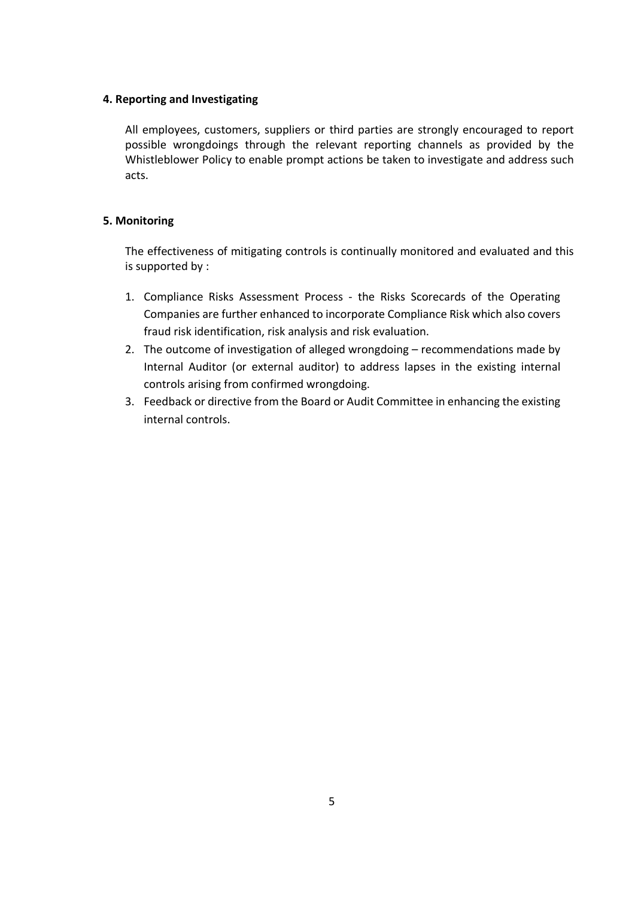#### 4. Reporting and Investigating

All employees, customers, suppliers or third parties are strongly encouraged to report possible wrongdoings through the relevant reporting channels as provided by the Whistleblower Policy to enable prompt actions be taken to investigate and address such acts.

## 5. Monitoring

The effectiveness of mitigating controls is continually monitored and evaluated and this is supported by :

- 1. Compliance Risks Assessment Process the Risks Scorecards of the Operating Companies are further enhanced to incorporate Compliance Risk which also covers fraud risk identification, risk analysis and risk evaluation.
- 2. The outcome of investigation of alleged wrongdoing recommendations made by Internal Auditor (or external auditor) to address lapses in the existing internal controls arising from confirmed wrongdoing.
- 3. Feedback or directive from the Board or Audit Committee in enhancing the existing internal controls.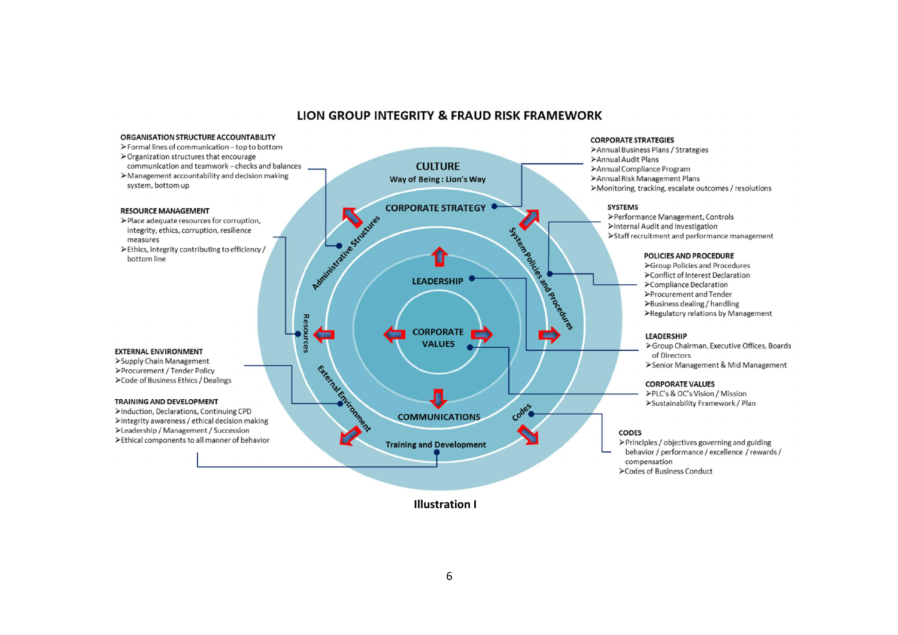#### LION GROUP INTEGRITY & FRAUD RISK FRAMEWORK



Illustration I